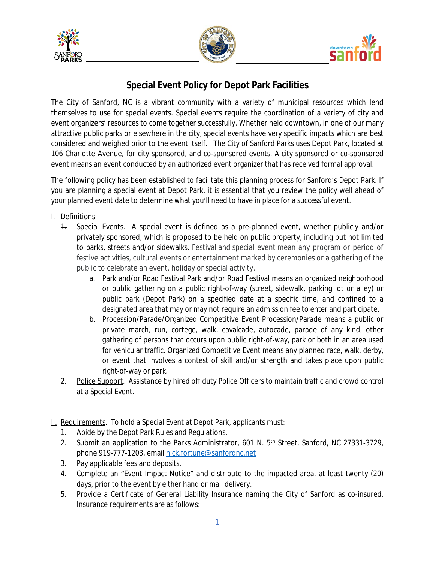





## **Special Event Policy for Depot Park Facilities**

The City of Sanford, NC is a vibrant community with a variety of municipal resources which lend themselves to use for special events. Special events require the coordination of a variety of city and event organizers' resources to come together successfully. Whether held downtown, in one of our many attractive public parks or elsewhere in the city, special events have very specific impacts which are best considered and weighed prior to the event itself. The City of Sanford Parks uses Depot Park, located at 106 Charlotte Avenue, for city sponsored, and co-sponsored events. A city sponsored or co-sponsored event means an event conducted by an authorized event organizer that has received formal approval.

The following policy has been established to facilitate this planning process for Sanford's Depot Park. If you are planning a special event at Depot Park, it is essential that you review the policy well ahead of your planned event date to determine what you'll need to have in place for a successful event.

- I. Definitions
	- 1. Special Events. A special event is defined as a pre-planned event, whether publicly and/or privately sponsored, which is proposed to be held on public property, including but not limited to parks, streets and/or sidewalks. Festival and special event mean any program or period of festive activities, cultural events or entertainment marked by ceremonies or a gathering of the public to celebrate an event, holiday or special activity.
		- a. Park and/or Road Festival Park and/or Road Festival means an organized neighborhood or public gathering on a public right-of-way (street, sidewalk, parking lot or alley) or public park (Depot Park) on a specified date at a specific time, and confined to a designated area that may or may not require an admission fee to enter and participate.
		- b. Procession/Parade/Organized Competitive Event Procession/Parade means a public or private march, run, cortege, walk, cavalcade, autocade, parade of any kind, other gathering of persons that occurs upon public right-of-way, park or both in an area used for vehicular traffic. Organized Competitive Event means any planned race, walk, derby, or event that involves a contest of skill and/or strength and takes place upon public right-of-way or park.
	- 2. Police Support. Assistance by hired off duty Police Officers to maintain traffic and crowd control at a Special Event.
- II. Requirements. To hold a Special Event at Depot Park, applicants must:
	- 1. Abide by the Depot Park Rules and Regulations.
	- 2. Submit an application to the Parks Administrator, 601 N. 5<sup>th</sup> Street, Sanford, NC 27331-3729, phone 919-777-1203, email [nick.fortune@sanfordnc.net](mailto:nick.fortune@sanfordnc.net)
	- 3. Pay applicable fees and deposits.
	- 4. Complete an "Event Impact Notice" and distribute to the impacted area, at least twenty (20) days, prior to the event by either hand or mail delivery.
	- 5. Provide a Certificate of General Liability Insurance naming the City of Sanford as co-insured. Insurance requirements are as follows: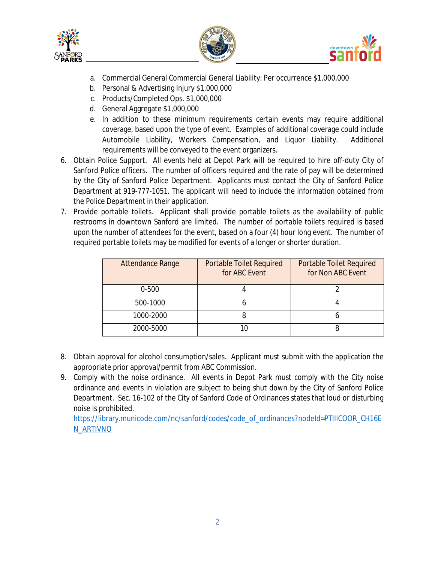





- a. Commercial General Commercial General Liability: Per occurrence \$1,000,000
- b. Personal & Advertising Injury \$1,000,000
- c. Products/Completed Ops. \$1,000,000
- d. General Aggregate \$1,000,000
- e. In addition to these minimum requirements certain events may require additional coverage, based upon the type of event. Examples of additional coverage could include Automobile Liability, Workers Compensation, and Liquor Liability. Additional requirements will be conveyed to the event organizers.
- 6. Obtain Police Support. All events held at Depot Park will be required to hire off-duty City of Sanford Police officers. The number of officers required and the rate of pay will be determined by the City of Sanford Police Department. Applicants must contact the City of Sanford Police Department at 919-777-1051. The applicant will need to include the information obtained from the Police Department in their application.
- 7. Provide portable toilets. Applicant shall provide portable toilets as the availability of public restrooms in downtown Sanford are limited. The number of portable toilets required is based upon the number of attendees for the event, based on a four (4) hour long event. The number of required portable toilets may be modified for events of a longer or shorter duration.

| <b>Attendance Range</b> | <b>Portable Toilet Required</b><br>for ABC Event | <b>Portable Toilet Required</b><br>for Non ABC Event |
|-------------------------|--------------------------------------------------|------------------------------------------------------|
| $0 - 500$               |                                                  |                                                      |
| 500-1000                |                                                  |                                                      |
| 1000-2000               |                                                  |                                                      |
| 2000-5000               |                                                  |                                                      |

- 8. Obtain approval for alcohol consumption/sales. Applicant must submit with the application the appropriate prior approval/permit from ABC Commission.
- 9. Comply with the noise ordinance. All events in Depot Park must comply with the City noise ordinance and events in violation are subject to being shut down by the City of Sanford Police Department. Sec. 16-102 of the City of Sanford Code of Ordinances states that loud or disturbing noise is prohibited.

[https://library.municode.com/nc/sanford/codes/code\\_of\\_ordinances?nodeId=PTIIICOOR\\_CH16E](https://library.municode.com/nc/sanford/codes/code_of_ordinances?nodeId=PTIIICOOR_CH16EN_ARTIVNO) N\_ARTIVNO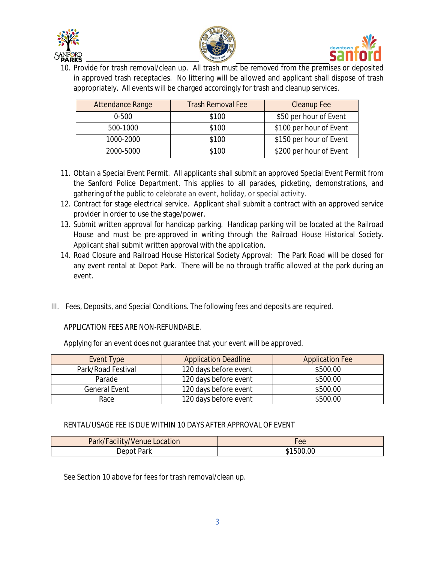





10. Provide for trash removal/clean up. All trash must be removed from the premises or deposited in approved trash receptacles. No littering will be allowed and applicant shall dispose of trash appropriately. All events will be charged accordingly for trash and cleanup services.

| Attendance Range | <b>Trash Removal Fee</b> | <b>Cleanup Fee</b>      |
|------------------|--------------------------|-------------------------|
| $0 - 500$        | \$100                    | \$50 per hour of Event  |
| 500-1000         | \$100                    | \$100 per hour of Event |
| 1000-2000        | \$100                    | \$150 per hour of Event |
| 2000-5000        | \$100                    | \$200 per hour of Event |

- 11. Obtain a Special Event Permit. All applicants shall submit an approved Special Event Permit from the Sanford Police Department. This applies to all parades, picketing, demonstrations, and gathering of the public to celebrate an event, holiday, or special activity.
- 12. Contract for stage electrical service. Applicant shall submit a contract with an approved service provider in order to use the stage/power.
- 13. Submit written approval for handicap parking. Handicap parking will be located at the Railroad House and must be pre-approved in writing through the Railroad House Historical Society. Applicant shall submit written approval with the application.
- 14. Road Closure and Railroad House Historical Society Approval: The Park Road will be closed for any event rental at Depot Park. There will be no through traffic allowed at the park during an event.
- III. Fees, Deposits, and Special Conditions. The following fees and deposits are required.

## APPLICATION FEES ARE NON-REFUNDABLE.

Applying for an event does not guarantee that your event will be approved.

| Event Type           | <b>Application Deadline</b>       | <b>Application Fee</b> |
|----------------------|-----------------------------------|------------------------|
| Park/Road Festival   | 120 days before event             | \$500.00               |
| Parade               | 120 days before event             | \$500.00               |
| <b>General Event</b> | 120 days before event<br>\$500.00 |                        |
| Race                 | 120 days before event             | \$500.00               |

## RENTAL/USAGE FEE IS DUE WITHIN 10 DAYS AFTER APPROVAL OF EVENT

| Park/Facility/Venue Location | Lee       |
|------------------------------|-----------|
| Park<br>)ennt                | \$1500.00 |

See Section 10 above for fees for trash removal/clean up.